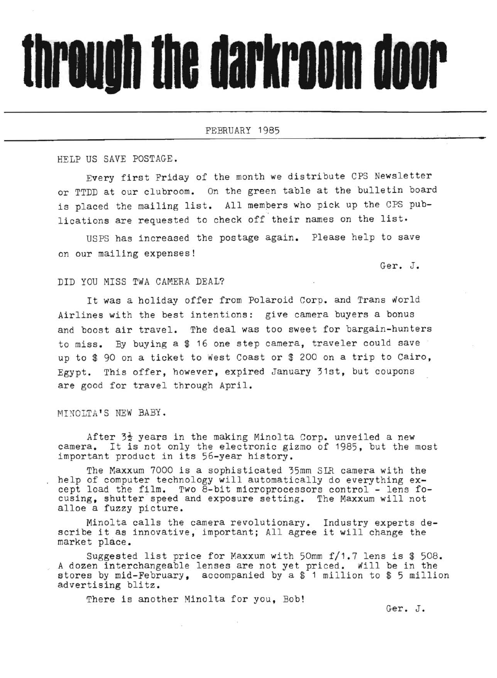## through the darkroom door

FEBRUARY 1985

HELP US SAVE POSTAGE.

Every first Friday of the month we distribute CPS Newsletter or TTDD at our clubroom. On the green table at the bulletin board is placed the mailing list. All mempers who pick up the CPS publications are requested to check off their names on the list.

USPS has increased the postage again. Please help to save on our mailing expenses!

Ger. J.

**•** 

## DID YOU MISS TWA CAMERA DEAL?

It was a holiday offer from Polaroid Corp. and Trans world Airlines with the best intentions: give camera buyers a bonus and boost air travel. The deal was too sweet for bargain-hunters to miss. By buying a \$ 16 one step camera, traveler could save ' up to \$ 90 on a ticket to West Coast or \$ 200 on a trip to Cairo, Egypt. This offer, however, expired January 31st, but coupons are good for travel through April.

## MINOLTA'S NEW BABY.

After  $3\frac{1}{2}$  years in the making Minolta Corp. unveiled a new camera. It is not only the electronic gizmo of 1985, but the most important product in its 56-year history.

The Maxxum 7000 is a sophisticated 35mm SIR camera with the help of computer technology will automatically do everything except load the film. Two 8-bit microprocessors control - lens focusing, shutter speed and exposure setting. The Maxxum will not alloe a fuzzy picture.

Minolta calls the camera revolutionary. Industry experts describe it as innovative, important; All agree it will change the market place.

Suggested list price for Maxxum with 50mm f/1.7 lens is \$ 508. A dozen interchangeable lenses are not yet priced. Will be in the stores by mid-February, accompanied by a \$ 1 million to \$ 5 million advertising blitz.

There is another Minolta for you, Bob!

Ger. J.